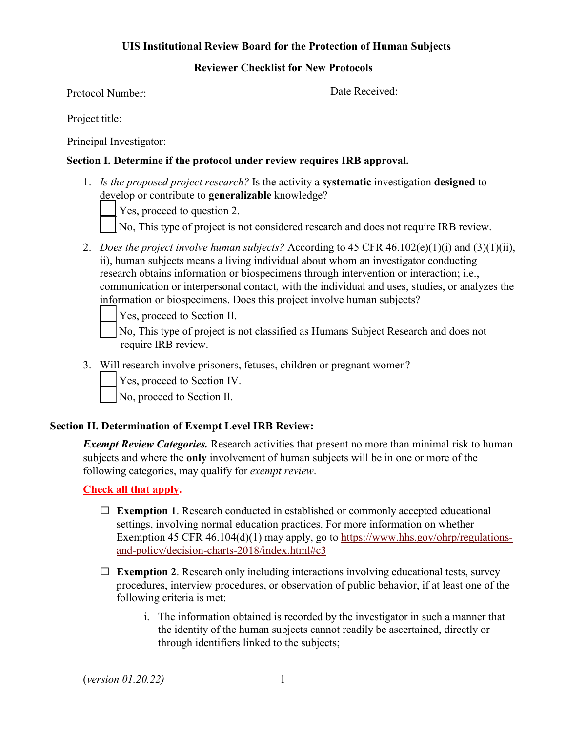# **UIS Institutional Review Board for the Protection of Human Subjects**

#### **Reviewer Checklist for New Protocols**

Protocol Number:

Date Received:

Project title:

Principal Investigator:

# **Section I. Determine if the protocol under review requires IRB approval.**

1. *Is the proposed project research?* Is the activity a **systematic** investigation **designed** to develop or contribute to **generalizable** knowledge?

Yes, proceed to question 2.

- No, This type of project is not considered research and does not require IRB review.
- 2. *Does the project involve human subjects?* According to 45 CFR 46.102(e)(1)(i) and (3)(1)(ii), ii), human subjects means a living individual about whom an investigator conducting research obtains information or biospecimens through intervention or interaction; i.e., communication or interpersonal contact, with the individual and uses, studies, or analyzes the information or biospecimens. Does this project involve human subjects?

Yes, proceed to Section II.

No, This type of project is not classified as Humans Subject Research and does not require IRB review.

3. Will research involve prisoners, fetuses, children or pregnant women?

Yes, proceed to Section IV.

No, proceed to Section II.

# **Section II. Determination of Exempt Level IRB Review:**

*Exempt Review Categories.* Research activities that present no more than minimal risk to human subjects and where the **only** involvement of human subjects will be in one or more of the following categories, may qualify for *exempt review*.

**Check all that apply.** 

- **Exemption 1**. Research conducted in established or commonly accepted educational settings, involving normal education practices. For more information on whether Exemption 45 CFR 46.104(d)(1) may apply, go to [https://www.hhs.gov/ohrp/regulations](https://www.hhs.gov/ohrp/regulations-and-policy/decision-charts-2018/index.html#c3)[and-policy/decision-charts-2018/index.html#c3](https://www.hhs.gov/ohrp/regulations-and-policy/decision-charts-2018/index.html#c3)
- **Exemption 2**. Research only including interactions involving educational tests, survey procedures, interview procedures, or observation of public behavior, if at least one of the following criteria is met:
	- i. The information obtained is recorded by the investigator in such a manner that the identity of the human subjects cannot readily be ascertained, directly or through identifiers linked to the subjects;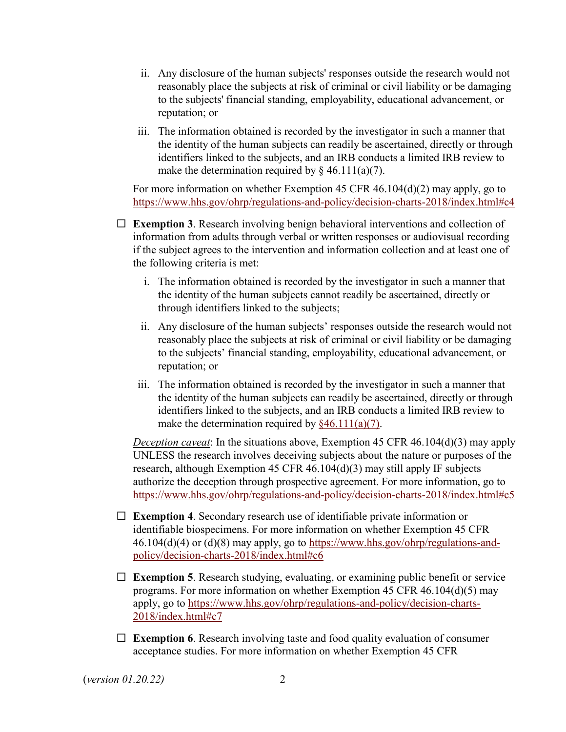- ii. Any disclosure of the human subjects' responses outside the research would not reasonably place the subjects at risk of criminal or civil liability or be damaging to the subjects' financial standing, employability, educational advancement, or reputation; or
- iii. The information obtained is recorded by the investigator in such a manner that the identity of the human subjects can readily be ascertained, directly or through identifiers linked to the subjects, and an IRB conducts a limited IRB review to make the determination required by  $\S$  46.111(a)(7).

For more information on whether Exemption 45 CFR 46.104(d)(2) may apply, go to <https://www.hhs.gov/ohrp/regulations-and-policy/decision-charts-2018/index.html#c4>

- **Exemption 3**. Research involving benign behavioral interventions and collection of information from adults through verbal or written responses or audiovisual recording if the subject agrees to the intervention and information collection and at least one of the following criteria is met:
	- i. The information obtained is recorded by the investigator in such a manner that the identity of the human subjects cannot readily be ascertained, directly or through identifiers linked to the subjects;
	- ii. Any disclosure of the human subjects' responses outside the research would not reasonably place the subjects at risk of criminal or civil liability or be damaging to the subjects' financial standing, employability, educational advancement, or reputation; or
	- iii. The information obtained is recorded by the investigator in such a manner that the identity of the human subjects can readily be ascertained, directly or through identifiers linked to the subjects, and an IRB conducts a limited IRB review to make the determination required by  $§46.111(a)(7)$ .

*Deception caveat*: In the situations above, Exemption 45 CFR 46.104(d)(3) may apply UNLESS the research involves deceiving subjects about the nature or purposes of the research, although Exemption 45 CFR 46.104(d)(3) may still apply IF subjects authorize the deception through prospective agreement. For more information, go to <https://www.hhs.gov/ohrp/regulations-and-policy/decision-charts-2018/index.html#c5>

- **Exemption 4**. Secondary research use of identifiable private information or identifiable biospecimens. For more information on whether Exemption 45 CFR  $46.104(d)(4)$  or  $(d)(8)$  may apply, go to [https://www.hhs.gov/ohrp/regulations-and](https://www.hhs.gov/ohrp/regulations-and-policy/decision-charts-2018/index.html#c6)[policy/decision-charts-2018/index.html#c6](https://www.hhs.gov/ohrp/regulations-and-policy/decision-charts-2018/index.html#c6)
- **Exemption 5**. Research studying, evaluating, or examining public benefit or service programs. For more information on whether Exemption 45 CFR 46.104(d)(5) may apply, go to [https://www.hhs.gov/ohrp/regulations-and-policy/decision-charts-](https://www.hhs.gov/ohrp/regulations-and-policy/decision-charts-2018/index.html#c7)[2018/index.html#c7](https://www.hhs.gov/ohrp/regulations-and-policy/decision-charts-2018/index.html#c7)
- **Exemption 6**. Research involving taste and food quality evaluation of consumer acceptance studies. For more information on whether Exemption 45 CFR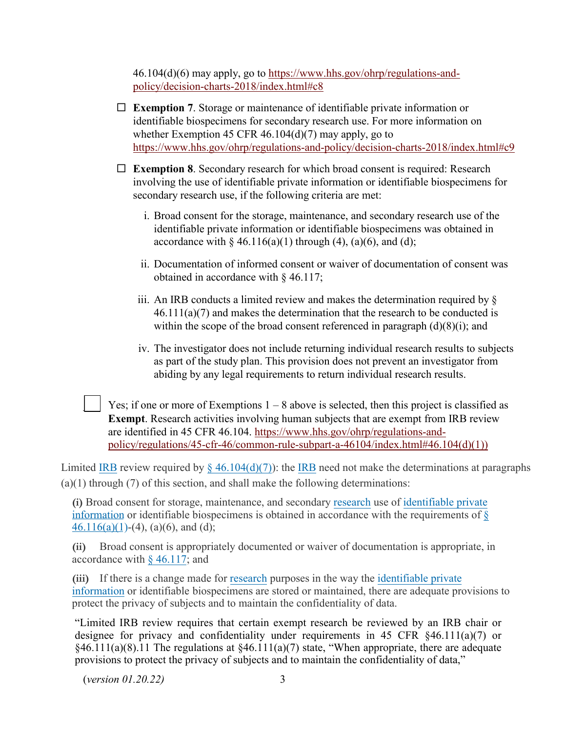46.104(d)(6) may apply, go to [https://www.hhs.gov/ohrp/regulations-and](https://www.hhs.gov/ohrp/regulations-and-policy/decision-charts-2018/index.html#c8)[policy/decision-charts-2018/index.html#c8](https://www.hhs.gov/ohrp/regulations-and-policy/decision-charts-2018/index.html#c8) 

- **Exemption 7**. Storage or maintenance of identifiable private information or identifiable biospecimens for secondary research use. For more information on whether Exemption 45 CFR  $46.104(d)(7)$  may apply, go to <https://www.hhs.gov/ohrp/regulations-and-policy/decision-charts-2018/index.html#c9>
- **Exemption 8**. Secondary research for which broad consent is required: Research involving the use of identifiable private information or identifiable biospecimens for secondary research use, if the following criteria are met:
	- i. Broad consent for the storage, maintenance, and secondary research use of the identifiable private information or identifiable biospecimens was obtained in accordance with  $\S 46.116(a)(1)$  through (4), (a)(6), and (d);
	- ii. Documentation of informed consent or waiver of documentation of consent was obtained in accordance with § 46.117;
	- iii. An IRB conducts a limited review and makes the determination required by §  $46.111(a)(7)$  and makes the determination that the research to be conducted is within the scope of the broad consent referenced in paragraph  $(d)(8)(i)$ ; and
	- iv. The investigator does not include returning individual research results to subjects as part of the study plan. This provision does not prevent an investigator from abiding by any legal requirements to return individual research results.

Yes; if one or more of Exemptions  $1 - 8$  above is selected, then this project is classified as **Exempt**. Research activities involving human subjects that are exempt from IRB review are identified in 45 CFR 46.104. [https://www.hhs.gov/ohrp/regulations-and](https://www.hhs.gov/ohrp/regulations-and-policy/regulations/45-cfr-46/common-rule-subpart-a-46104/index.html#46.104(d)(1)))[policy/regulations/45-cfr-46/common-rule-subpart-a-46104/index.html#46.104\(d\)\(1\)\)](https://www.hhs.gov/ohrp/regulations-and-policy/regulations/45-cfr-46/common-rule-subpart-a-46104/index.html#46.104(d)(1)))

Limited [IRB](https://www.law.cornell.edu/definitions/index.php?width=840&height=800&iframe=true&def_id=7b2cbfb68d6f21c0fb34bda7f47a9533&term_occur=999&term_src=Title:45:Chapter:A:Subchapter:A:Part:46:Subpart:A:46.111) review required by  $\S$  46.104(d)(7)): the IRB need not make the determinations at paragraphs  $(a)(1)$  through  $(7)$  of this section, and shall make the following determinations:

**(i)** Broad consent for storage, maintenance, and secondary [research](https://www.law.cornell.edu/definitions/index.php?width=840&height=800&iframe=true&def_id=a69c034e956ff0cc9f47d70b63bdea3b&term_occur=999&term_src=Title:45:Chapter:A:Subchapter:A:Part:46:Subpart:A:46.111) use [of identifiable private](https://www.law.cornell.edu/definitions/index.php?width=840&height=800&iframe=true&def_id=665bb0f70d84a396884a9cb96918c7a8&term_occur=999&term_src=Title:45:Chapter:A:Subchapter:A:Part:46:Subpart:A:46.111)  [information](https://www.law.cornell.edu/definitions/index.php?width=840&height=800&iframe=true&def_id=665bb0f70d84a396884a9cb96918c7a8&term_occur=999&term_src=Title:45:Chapter:A:Subchapter:A:Part:46:Subpart:A:46.111) or identifiable biospecimens is obtained in accordance with the requirement[s of](https://www.law.cornell.edu/cfr/text/45/46.116#a_1)  $\frac{1}{8}$  $46.116(a)(1)$ -(4), (a)(6), and (d);

**(ii)** Broad consent is appropriately documented or waiver of documentation is appropriate, in accordance with [§ 46.117](https://www.law.cornell.edu/cfr/text/45/46.117); and

**(iii)** If there is a change made for [research](https://www.law.cornell.edu/definitions/index.php?width=840&height=800&iframe=true&def_id=a69c034e956ff0cc9f47d70b63bdea3b&term_occur=999&term_src=Title:45:Chapter:A:Subchapter:A:Part:46:Subpart:A:46.111) purposes in the way the identifiable private information [or identifiable biospecimens are stored or maintained, there are adequate pro](https://www.law.cornell.edu/definitions/index.php?width=840&height=800&iframe=true&def_id=665bb0f70d84a396884a9cb96918c7a8&term_occur=999&term_src=Title:45:Chapter:A:Subchapter:A:Part:46:Subpart:A:46.111)visions to protect the privacy of subjects and to maintain the confidentiality of data.

"Limited IRB review requires that certain exempt research be reviewed by an IRB chair or designee for privacy and confidentiality under requirements in 45 CFR §46.111(a)(7) or  $§46.111(a)(8).11$  The regulations at  $§46.111(a)(7)$  state, "When appropriate, there are adequate provisions to protect the privacy of subjects and to maintain the confidentiality of data,"

(*version 01.20.22)* 3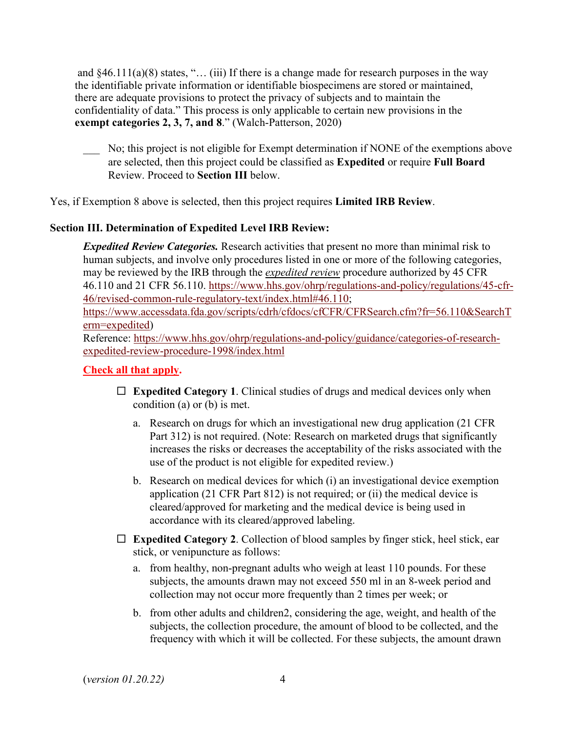and  $§46.111(a)(8)$  states, "... (iii) If there is a change made for research purposes in the way the identifiable private information or identifiable biospecimens are stored or maintained, there are adequate provisions to protect the privacy of subjects and to maintain the confidentiality of data." This process is only applicable to certain new provisions in the **exempt categories 2, 3, 7, and 8**." (Walch-Patterson, 2020)

\_\_\_ No; this project is not eligible for Exempt determination if NONE of the exemptions above are selected, then this project could be classified as **Expedited** or require **Full Board** Review. Proceed to **Section III** below.

Yes, if Exemption 8 above is selected, then this project requires **Limited IRB Review**.

# **Section III. Determination of Expedited Level IRB Review:**

*Expedited Review Categories.* Research activities that present no more than minimal risk to human subjects, and involve only procedures listed in one or more of the following categories, may be reviewed by the IRB through the *expedited review* procedure authorized by 45 CFR 46.110 and 21 CFR 56.110. [https://www.hhs.gov/ohrp/regulations-and-policy/regulations/45-cfr-](https://www.hhs.gov/ohrp/regulations-and-policy/regulations/45-cfr-46/revised-common-rule-regulatory-text/index.html#46.110)[46/revised-common-rule-regulatory-text/index.html#46.110;](https://www.hhs.gov/ohrp/regulations-and-policy/regulations/45-cfr-46/revised-common-rule-regulatory-text/index.html#46.110) [https://www.accessdata.fda.gov/scripts/cdrh/cfdocs/cfCFR/CFRSearch.cfm?fr=56.110&SearchT](https://www.accessdata.fda.gov/scripts/cdrh/cfdocs/cfCFR/CFRSearch.cfm?fr=56.110&SearchTerm=expedited) [erm=expedited\)](https://www.accessdata.fda.gov/scripts/cdrh/cfdocs/cfCFR/CFRSearch.cfm?fr=56.110&SearchTerm=expedited)

Reference: [https://www.hhs.gov/ohrp/regulations-and-policy/guidance/categories-of-research](https://www.hhs.gov/ohrp/regulations-and-policy/guidance/categories-of-research-expedited-review-procedure-1998/index.html)[expedited-review-procedure-1998/index.html](https://www.hhs.gov/ohrp/regulations-and-policy/guidance/categories-of-research-expedited-review-procedure-1998/index.html) 

# **Check all that apply.**

- **Expedited Category 1**. Clinical studies of drugs and medical devices only when condition (a) or (b) is met.
	- a. Research on drugs for which an investigational new drug application (21 CFR Part 312) is not required. (Note: Research on marketed drugs that significantly increases the risks or decreases the acceptability of the risks associated with the use of the product is not eligible for expedited review.)
	- b. Research on medical devices for which (i) an investigational device exemption application (21 CFR Part 812) is not required; or (ii) the medical device is cleared/approved for marketing and the medical device is being used in accordance with its cleared/approved labeling.
- $\Box$  **Expedited Category 2.** Collection of blood samples by finger stick, heel stick, ear stick, or venipuncture as follows:
	- a. from healthy, non-pregnant adults who weigh at least 110 pounds. For these subjects, the amounts drawn may not exceed 550 ml in an 8-week period and collection may not occur more frequently than 2 times per week; or
	- b. from other adults and children2, considering the age, weight, and health of the subjects, the collection procedure, the amount of blood to be collected, and the frequency with which it will be collected. For these subjects, the amount drawn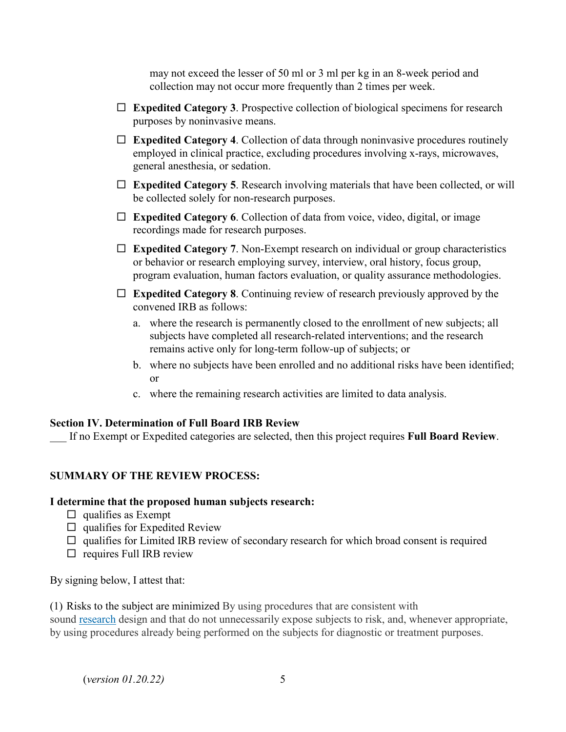may not exceed the lesser of 50 ml or 3 ml per kg in an 8-week period and collection may not occur more frequently than 2 times per week.

- **Expedited Category 3**. Prospective collection of biological specimens for research purposes by noninvasive means.
- **Expedited Category 4**. Collection of data through noninvasive procedures routinely employed in clinical practice, excluding procedures involving x-rays, microwaves, general anesthesia, or sedation.
- **Expedited Category 5**. Research involving materials that have been collected, or will be collected solely for non-research purposes.
- **Expedited Category 6**. Collection of data from voice, video, digital, or image recordings made for research purposes.
- **Expedited Category 7**. Non-Exempt research on individual or group characteristics or behavior or research employing survey, interview, oral history, focus group, program evaluation, human factors evaluation, or quality assurance methodologies.
- **Expedited Category 8**. Continuing review of research previously approved by the convened IRB as follows:
	- a. where the research is permanently closed to the enrollment of new subjects; all subjects have completed all research-related interventions; and the research remains active only for long-term follow-up of subjects; or
	- b. where no subjects have been enrolled and no additional risks have been identified; or
	- c. where the remaining research activities are limited to data analysis.

# **Section IV. Determination of Full Board IRB Review**

\_\_\_ If no Exempt or Expedited categories are selected, then this project requires **Full Board Review**.

# **SUMMARY OF THE REVIEW PROCESS:**

#### **I determine that the proposed human subjects research:**

- $\Box$  qualifies as Exempt
- $\Box$  qualifies for Expedited Review
- $\Box$  qualifies for Limited IRB review of secondary research for which broad consent is required
- $\Box$  requires Full IRB review

By signing below, I attest that:

(1) Risks to the subject are minimized By using procedures that are consistent with

sound [research](https://www.law.cornell.edu/definitions/index.php?width=840&height=800&iframe=true&def_id=a69c034e956ff0cc9f47d70b63bdea3b&term_occur=999&term_src=Title:45:Chapter:A:Subchapter:A:Part:46:Subpart:A:46.111) design and that do not unnecessarily expose subjects to risk, and, whenever appropriate, by using procedures already being performed on the subjects for diagnostic or treatment purposes.